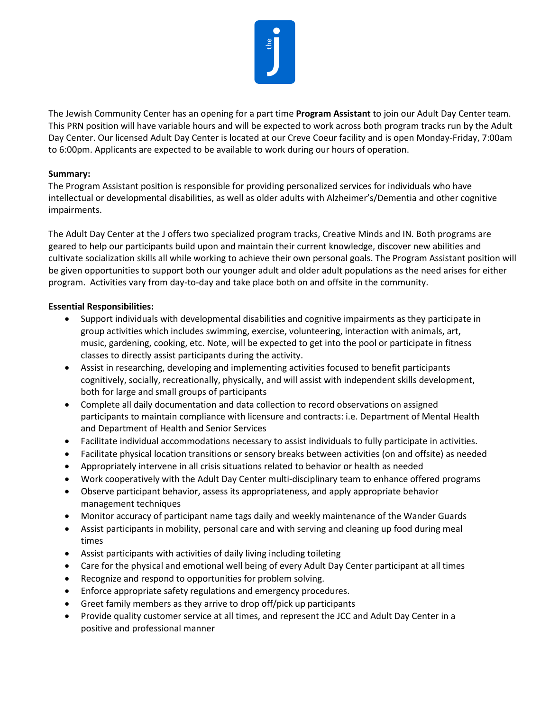

The Jewish Community Center has an opening for a part time **Program Assistant** to join our Adult Day Center team. This PRN position will have variable hours and will be expected to work across both program tracks run by the Adult Day Center. Our licensed Adult Day Center is located at our Creve Coeur facility and is open Monday-Friday, 7:00am to 6:00pm. Applicants are expected to be available to work during our hours of operation.

## **Summary:**

The Program Assistant position is responsible for providing personalized services for individuals who have intellectual or developmental disabilities, as well as older adults with Alzheimer's/Dementia and other cognitive impairments.

The Adult Day Center at the J offers two specialized program tracks, Creative Minds and IN. Both programs are geared to help our participants build upon and maintain their current knowledge, discover new abilities and cultivate socialization skills all while working to achieve their own personal goals. The Program Assistant position will be given opportunities to support both our younger adult and older adult populations as the need arises for either program. Activities vary from day-to-day and take place both on and offsite in the community.

## **Essential Responsibilities:**

- Support individuals with developmental disabilities and cognitive impairments as they participate in group activities which includes swimming, exercise, volunteering, interaction with animals, art, music, gardening, cooking, etc. Note, will be expected to get into the pool or participate in fitness classes to directly assist participants during the activity.
- Assist in researching, developing and implementing activities focused to benefit participants cognitively, socially, recreationally, physically, and will assist with independent skills development, both for large and small groups of participants
- Complete all daily documentation and data collection to record observations on assigned participants to maintain compliance with licensure and contracts: i.e. Department of Mental Health and Department of Health and Senior Services
- Facilitate individual accommodations necessary to assist individuals to fully participate in activities.
- Facilitate physical location transitions or sensory breaks between activities (on and offsite) as needed
- Appropriately intervene in all crisis situations related to behavior or health as needed
- Work cooperatively with the Adult Day Center multi-disciplinary team to enhance offered programs
- Observe participant behavior, assess its appropriateness, and apply appropriate behavior management techniques
- Monitor accuracy of participant name tags daily and weekly maintenance of the Wander Guards
- Assist participants in mobility, personal care and with serving and cleaning up food during meal times
- Assist participants with activities of daily living including toileting
- Care for the physical and emotional well being of every Adult Day Center participant at all times
- Recognize and respond to opportunities for problem solving.
- Enforce appropriate safety regulations and emergency procedures.
- Greet family members as they arrive to drop off/pick up participants
- Provide quality customer service at all times, and represent the JCC and Adult Day Center in a positive and professional manner